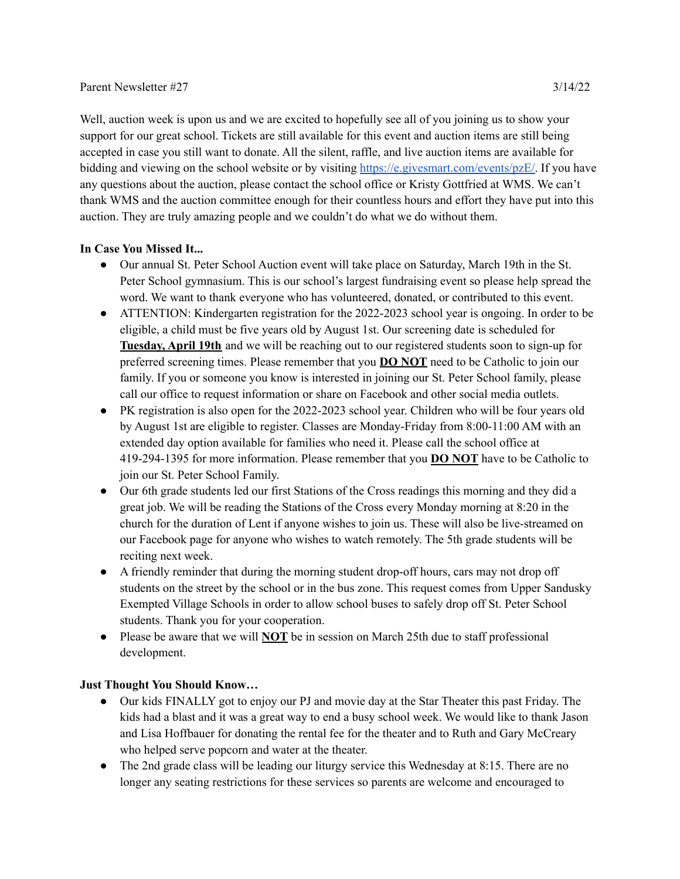## Parent Newsletter #27 3/14/22

Well, auction week is upon us and we are excited to hopefully see all of you joining us to show your support for our great school. Tickets are still available for this event and auction items are still being accepted in case you still want to donate. All the silent, raffle, and live auction items are available for bidding and viewing on the school website or by visiting [https://e.givesmart.com/events/pzE/.](https://e.givesmart.com/events/pzE/) If you have any questions about the auction, please contact the school office or Kristy Gottfried at WMS. We can't thank WMS and the auction committee enough for their countless hours and effort they have put into this auction. They are truly amazing people and we couldn't do what we do without them.

## **In Case You Missed It...**

- Our annual St. Peter School Auction event will take place on Saturday, March 19th in the St. Peter School gymnasium. This is our school's largest fundraising event so please help spread the word. We want to thank everyone who has volunteered, donated, or contributed to this event.
- ATTENTION: Kindergarten registration for the 2022-2023 school year is ongoing. In order to be eligible, a child must be five years old by August 1st. Our screening date is scheduled for **Tuesday, April 19th** and we will be reaching out to our registered students soon to sign-up for preferred screening times. Please remember that you **DO NOT** need to be Catholic to join our family. If you or someone you know is interested in joining our St. Peter School family, please call our office to request information or share on Facebook and other social media outlets.
- PK registration is also open for the 2022-2023 school year. Children who will be four years old by August 1st are eligible to register. Classes are Monday-Friday from 8:00-11:00 AM with an extended day option available for families who need it. Please call the school office at 419-294-1395 for more information. Please remember that you **DO NOT** have to be Catholic to join our St. Peter School Family.
- Our 6th grade students led our first Stations of the Cross readings this morning and they did a great job. We will be reading the Stations of the Cross every Monday morning at 8:20 in the church for the duration of Lent if anyone wishes to join us. These will also be live-streamed on our Facebook page for anyone who wishes to watch remotely. The 5th grade students will be reciting next week.
- A friendly reminder that during the morning student drop-off hours, cars may not drop off students on the street by the school or in the bus zone. This request comes from Upper Sandusky Exempted Village Schools in order to allow school buses to safely drop off St. Peter School students. Thank you for your cooperation.
- Please be aware that we will **NOT** be in session on March 25th due to staff professional development.

## **Just Thought You Should Know…**

- Our kids FINALLY got to enjoy our PJ and movie day at the Star Theater this past Friday. The kids had a blast and it was a great way to end a busy school week. We would like to thank Jason and Lisa Hoffbauer for donating the rental fee for the theater and to Ruth and Gary McCreary who helped serve popcorn and water at the theater.
- The 2nd grade class will be leading our liturgy service this Wednesday at 8:15. There are no longer any seating restrictions for these services so parents are welcome and encouraged to